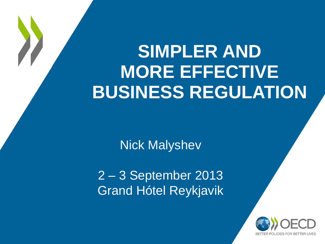# **SIMPLER AND MORE EFFECTIVE BUSINESS REGULATION**

Nick Malyshev

2 – 3 September 2013 Grand Hótel Reykjavik

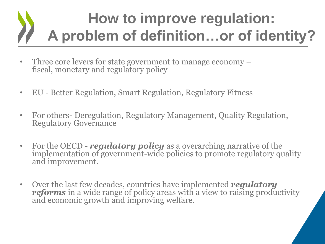## **How to improve regulation: A problem of definition…or of identity?**

- Three core levers for state government to manage economy fiscal, monetary and regulatory policy
- EU Better Regulation, Smart Regulation, Regulatory Fitness
- For others- Deregulation, Regulatory Management, Quality Regulation, Regulatory Governance
- For the OECD *regulatory policy* as a overarching narrative of the implementation of government-wide policies to promote regulatory quality and improvement.
- Over the last few decades, countries have implemented *regulatory reforms* in a wide range of policy areas with a view to raising productivity and economic growth and improving welfare.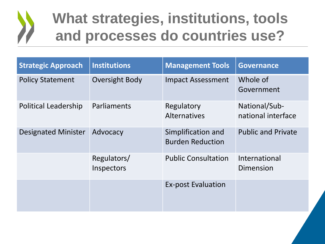#### **What strategies, institutions, tools and processes do countries use?**

| <b>Strategic Approach</b>   | <b>Institutions</b>       | <b>Management Tools</b>                       | <b>Governance</b>                   |
|-----------------------------|---------------------------|-----------------------------------------------|-------------------------------------|
| <b>Policy Statement</b>     | Oversight Body            | <b>Impact Assessment</b>                      | Whole of<br>Government              |
| <b>Political Leadership</b> | Parliaments               | Regulatory<br><b>Alternatives</b>             | National/Sub-<br>national interface |
| <b>Designated Minister</b>  | Advocacy                  | Simplification and<br><b>Burden Reduction</b> | <b>Public and Private</b>           |
|                             | Regulators/<br>Inspectors | <b>Public Consultation</b>                    | International<br>Dimension          |
|                             |                           | <b>Ex-post Evaluation</b>                     |                                     |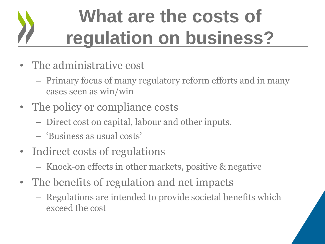# **What are the costs of regulation on business?**

- The administrative cost
	- Primary focus of many regulatory reform efforts and in many cases seen as win/win
- The policy or compliance costs
	- Direct cost on capital, labour and other inputs.
	- 'Business as usual costs'
- Indirect costs of regulations
	- Knock-on effects in other markets, positive & negative
- The benefits of regulation and net impacts
	- Regulations are intended to provide societal benefits which exceed the cost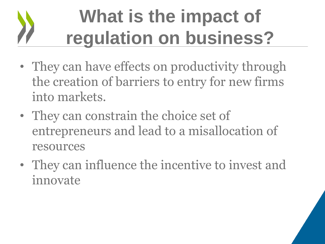# **What is the impact of regulation on business?**

- They can have effects on productivity through the creation of barriers to entry for new firms into markets.
- They can constrain the choice set of entrepreneurs and lead to a misallocation of resources
- They can influence the incentive to invest and innovate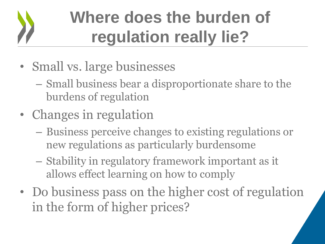# **Where does the burden of regulation really lie?**

- Small vs. large businesses
	- Small business bear a disproportionate share to the burdens of regulation
- Changes in regulation
	- Business perceive changes to existing regulations or new regulations as particularly burdensome
	- Stability in regulatory framework important as it allows effect learning on how to comply
- Do business pass on the higher cost of regulation in the form of higher prices?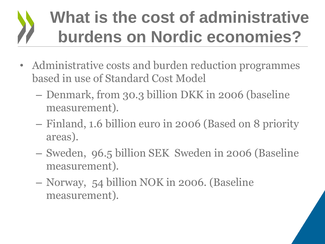## **What is the cost of administrative burdens on Nordic economies?**

- Administrative costs and burden reduction programmes based in use of Standard Cost Model
	- Denmark, from 30.3 billion DKK in 2006 (baseline measurement).
	- Finland, 1.6 billion euro in 2006 (Based on 8 priority areas).
	- Sweden, 96.5 billion SEK Sweden in 2006 (Baseline measurement).
	- Norway, 54 billion NOK in 2006. (Baseline measurement).

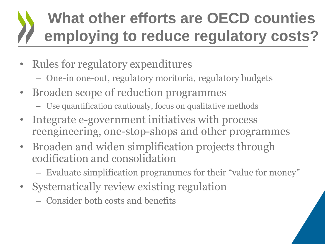## **What other efforts are OECD counties employing to reduce regulatory costs?**

- Rules for regulatory expenditures
	- One-in one-out, regulatory moritoria, regulatory budgets
- Broaden scope of reduction programmes
	- Use quantification cautiously, focus on qualitative methods
- Integrate e-government initiatives with process reengineering, one-stop-shops and other programmes
- Broaden and widen simplification projects through codification and consolidation
	- Evaluate simplification programmes for their "value for money"
- Systematically review existing regulation
	- Consider both costs and benefits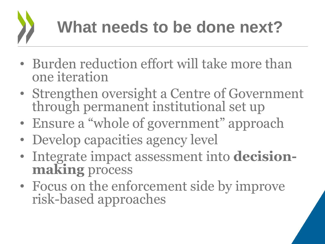- Burden reduction effort will take more than one iteration
- Strengthen oversight a Centre of Government through permanent institutional set up
- Ensure a "whole of government" approach
- Develop capacities agency level
- Integrate impact assessment into **decisionmaking** process
- Focus on the enforcement side by improve risk-based approaches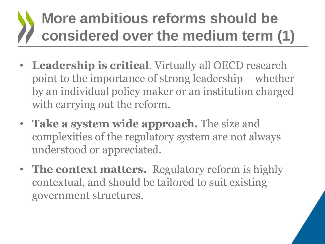## **More ambitious reforms should be considered over the medium term (1)**

- **Leadership is critical**. Virtually all OECD research point to the importance of strong leadership – whether by an individual policy maker or an institution charged with carrying out the reform.
- **Take a system wide approach.** The size and complexities of the regulatory system are not always understood or appreciated.
- **The context matters.** Regulatory reform is highly contextual, and should be tailored to suit existing government structures.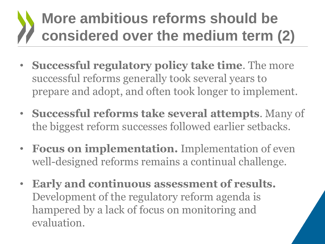## **More ambitious reforms should be considered over the medium term (2)**

- **Successful regulatory policy take time**. The more successful reforms generally took several years to prepare and adopt, and often took longer to implement.
- **Successful reforms take several attempts**. Many of the biggest reform successes followed earlier setbacks.
- **Focus on implementation.** Implementation of even well-designed reforms remains a continual challenge.
- **Early and continuous assessment of results.**  Development of the regulatory reform agenda is hampered by a lack of focus on monitoring and evaluation.